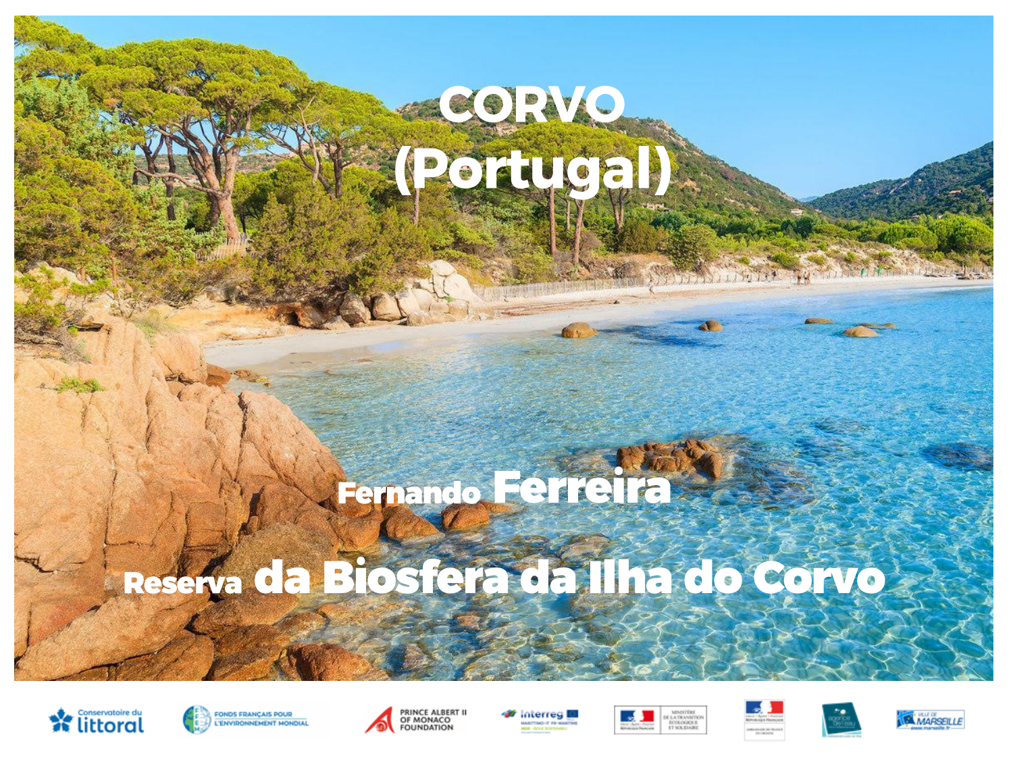# Roauen)

## Fenero Ferreira

### Reserva da Biosfera da Ilha do Corvo







Interrea l







31115019 74

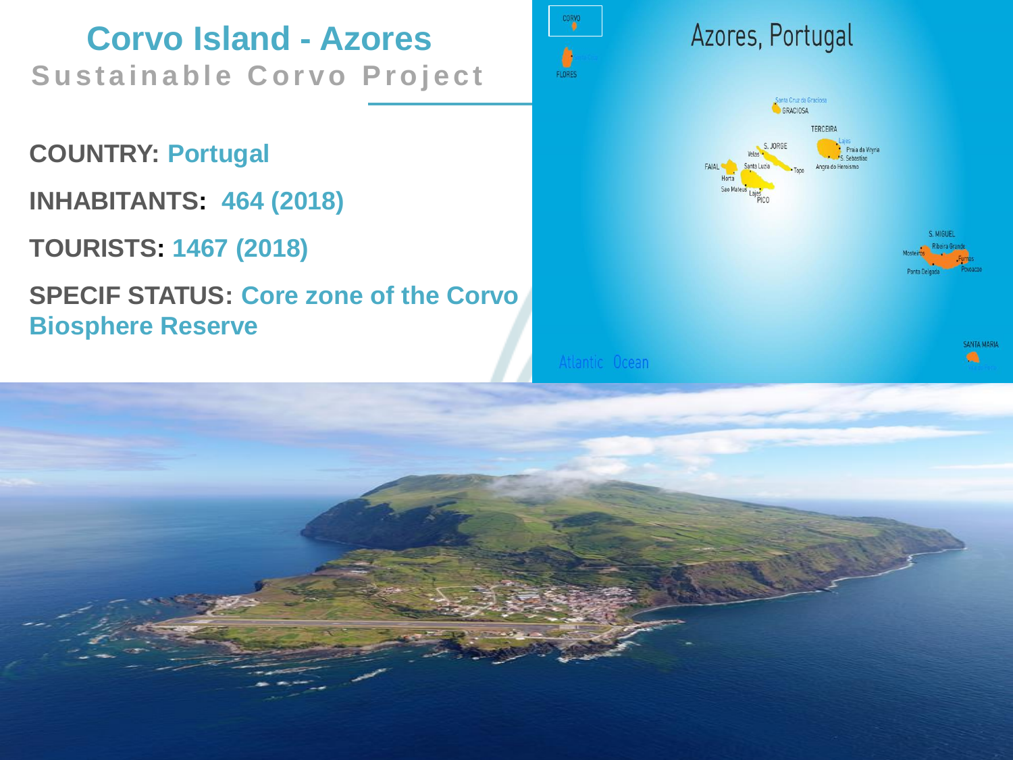**Corvo Island - Azores Sustainable Corvo Project** 

**COUNTRY: Portugal**

**INHABITANTS: 464 (2018)** 

**TOURISTS: 1467 (2018)**

**SPECIF STATUS: Core zone of the Corvo Biosphere Reserve**



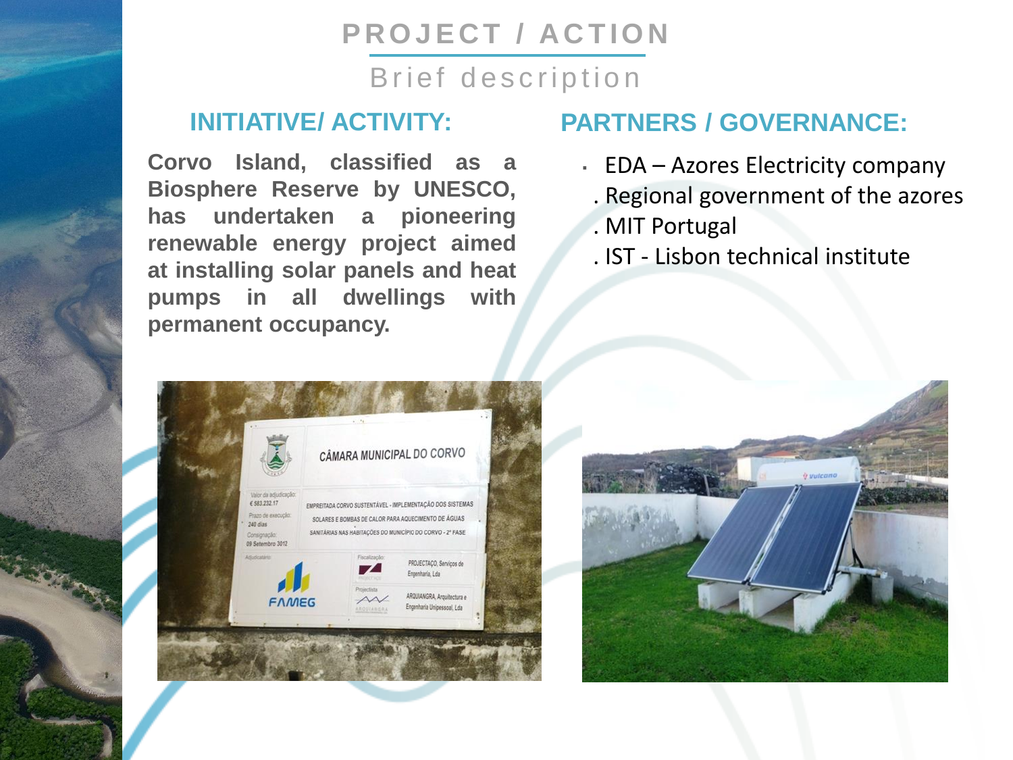#### **PROJECT / ACTION**

#### Brief description

#### **INITIATIVE/ ACTIVITY:**

**Corvo Island, classified as a Biosphere Reserve by UNESCO, has undertaken a pioneering renewable energy project aimed at installing solar panels and heat pumps in all dwellings with permanent occupancy.**

#### CÂMARA MUNICIPAL DO CORVO Valor da adjud € 583 232.17 EMPREITADA CORVO SUSTENTÁVEL - IMPLEMENTAÇÃO DOS SISTEMAS Prazo de execuci SOLARES E BOMBAS DE CALOR PARA AQUECIMENTO DE ÁGUAS RQUIANGRA, Arquitectura e **FAMEG** Engenharia Unipessoal, Lda

#### **PARTNERS / GOVERNANCE:**

- **.** EDA Azores Electricity company
	- . Regional government of the azores
	- . MIT Portugal
	- . IST Lisbon technical institute

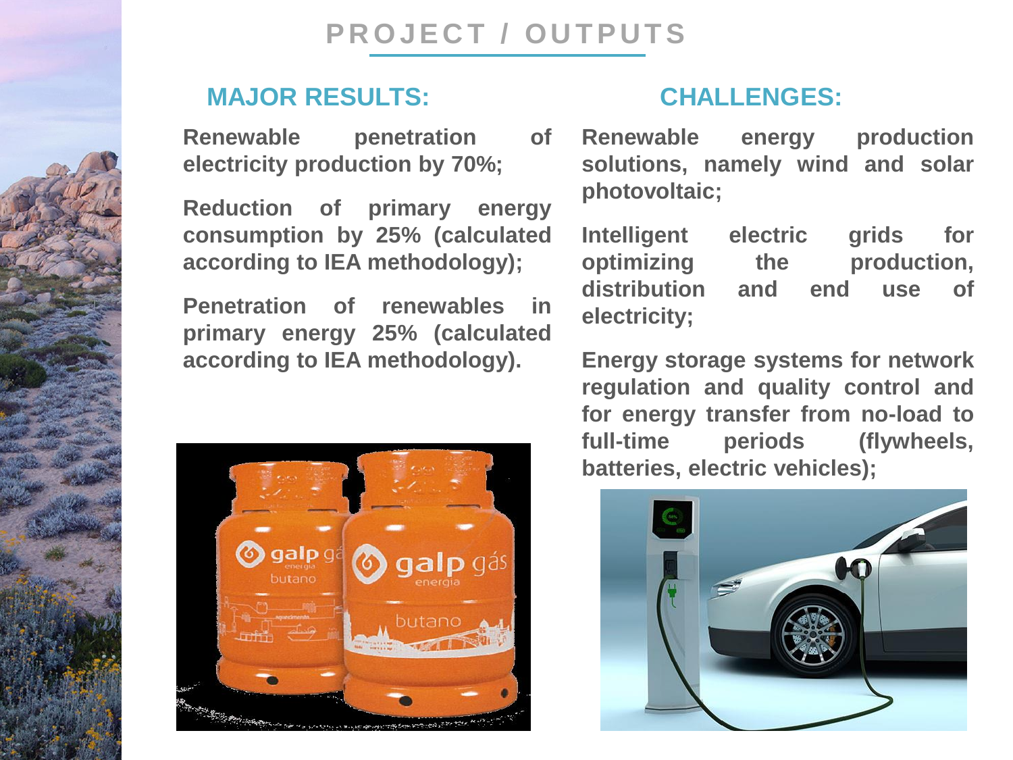**PROJECT / OUTPUTS** 

#### **MAJOR RESULTS:**

**Renewable penetration of electricity production by 70%;**

**Reduction of primary energy consumption by 25% (calculated according to IEA methodology);**

**Penetration of renewables in primary energy 25% (calculated according to IEA methodology).**



#### **CHALLENGES:**

**Renewable energy production solutions, namely wind and solar photovoltaic;**

**Intelligent electric grids for optimizing the production, distribution and end use of electricity;**

**Energy storage systems for network regulation and quality control and for energy transfer from no-load to full-time periods (flywheels, batteries, electric vehicles);**